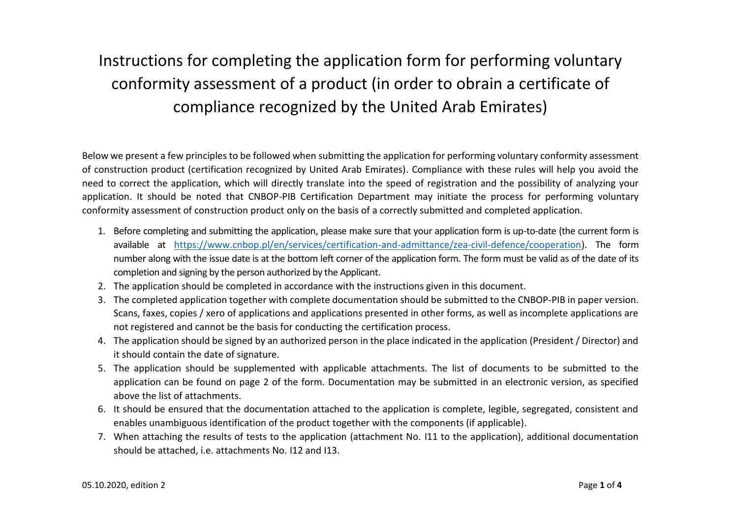## Instructions for completing the application form for performing voluntary conformity assessment of a product (in order to obrain a certificate of compliance recognized by the United Arab Emirates)

Below we present a few principles to be followed when submitting the application for performing voluntary conformity assessment of construction product (certification recognized by United Arab Emirates). Compliance with these rules will help you avoid the need to correct the application, which will directly translate into the speed of registration and the possibility of analyzing your application. It should be noted that CNBOP-PIB Certification Department may initiate the process for performing voluntary conformity assessment of construction product only on the basis of a correctly submitted and completed application.

- 1. Before completing and submitting the application, please make sure that your application form is up-to-date (the current form is available at [https://www.cnbop.pl/en/services/certification-and-admittance/zea-civil-defence/cooperation\)](https://www.cnbop.pl/en/services/certification-and-admittance/zea-civil-defence/cooperation). The form number along with the issue date is at the bottom left corner of the application form. The form must be valid as of the date of its completion and signing by the person authorized by the Applicant.
- 2. The application should be completed in accordance with the instructions given in this document.
- 3. The completed application together with complete documentation should be submitted to the CNBOP-PIB in paper version. Scans, faxes, copies / xero of applications and applications presented in other forms, as well as incomplete applications are not registered and cannot be the basis for conducting the certification process.
- 4. The application should be signed by an authorized person in the place indicated in the application (President / Director) and it should contain the date of signature.
- 5. The application should be supplemented with applicable attachments. The list of documents to be submitted to the application can be found on page 2 of the form. Documentation may be submitted in an electronic version, as specified above the list of attachments.
- 6. It should be ensured that the documentation attached to the application is complete, legible, segregated, consistent and enables unambiguous identification of the product together with the components (if applicable).
- 7. When attaching the results of tests to the application (attachment No. I11 to the application), additional documentation should be attached, i.e. attachments No. I12 and I13.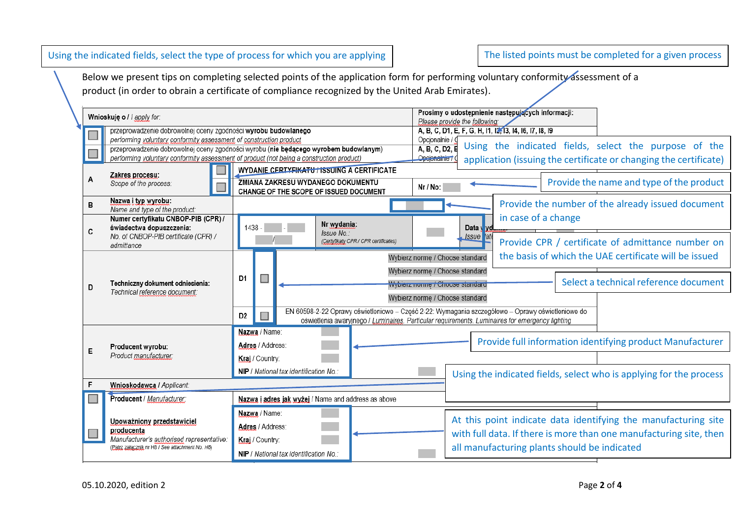| Using the indicated fields, select the type of process for which you are applying |  |  |  |  |
|-----------------------------------------------------------------------------------|--|--|--|--|
|-----------------------------------------------------------------------------------|--|--|--|--|

The listed points must be completed for a given process

Below we present tips on completing selected points of the application form for performing voluntary conformity assessment of a product (in order to obrain a certificate of compliance recognized by the United Arab Emirates).

|  |   | Wnioskuje o /   apply for:                                                               |                |                  |                                                                             |                                            |                                 | Please provide the following:                           | Prosimy o udostępnienie następujących informacji:                                                                                                                                                   |                                                                    |
|--|---|------------------------------------------------------------------------------------------|----------------|------------------|-----------------------------------------------------------------------------|--------------------------------------------|---------------------------------|---------------------------------------------------------|-----------------------------------------------------------------------------------------------------------------------------------------------------------------------------------------------------|--------------------------------------------------------------------|
|  |   | przeprowadzenie dobrowolnej oceny zgodności wyrobu budowlanego                           |                |                  |                                                                             |                                            |                                 | A, B, C, D1, E, F, G, H, I1, I2, 13, I4, I6, I7, I8, I9 |                                                                                                                                                                                                     |                                                                    |
|  |   | performing voluntary conformity assessment of construction product                       |                |                  |                                                                             |                                            | Opcionalnie / O                 |                                                         |                                                                                                                                                                                                     |                                                                    |
|  |   | przeprowadzenie dobrowolnej oceny zgodności wyrobu (nie będącego wyrobem budowlanym)     |                |                  |                                                                             |                                            | A, B, C, D2, E                  |                                                         |                                                                                                                                                                                                     | Using the indicated fields, select the purpose of the              |
|  |   | performing voluntary conformity assessment of product (not being a construction product) |                |                  |                                                                             |                                            | Opcjonalnie † (                 |                                                         |                                                                                                                                                                                                     | application (issuing the certificate or changing the certificate)  |
|  |   | Zakres procesu:                                                                          |                |                  | WYDANIE CERTYFIKATU / ISSUING A CERTIFICATE                                 |                                            |                                 |                                                         |                                                                                                                                                                                                     |                                                                    |
|  |   | Scope of the process:                                                                    |                |                  | ZMIANA ZAKRESU WYDANEGO DOKUMENTU<br>CHANGE OF THE SCOPE OF ISSUED DOCUMENT |                                            | Nr / No:                        |                                                         |                                                                                                                                                                                                     | Provide the name and type of the product                           |
|  | B | Nazwa i typ wyrobu:<br>Name and type of the product:                                     |                |                  |                                                                             |                                            |                                 |                                                         |                                                                                                                                                                                                     | Provide the number of the already issued document                  |
|  |   | Numer certyfikatu CNBOP-PIB (CPR) /<br>świadectwa dopuszczenia:                          | 1438 -         |                  | Nr wydania:                                                                 |                                            |                                 | Data v vd                                               | in case of a change                                                                                                                                                                                 |                                                                    |
|  | C | No. of CNBOP-PIB certificate (CPR) /                                                     |                |                  | Issue No.:                                                                  | (Certyfikaty CPR / CPR certificates)       |                                 | Issue ate                                               |                                                                                                                                                                                                     | Provide CPR / certificate of admittance number on                  |
|  |   | admittance                                                                               |                |                  |                                                                             |                                            |                                 |                                                         |                                                                                                                                                                                                     |                                                                    |
|  |   | Techniczny dokument odniesienia:<br>Technical reference document:                        |                |                  |                                                                             |                                            |                                 | Wybierz normę / Choose standard                         |                                                                                                                                                                                                     | the basis of which the UAE certificate will be issued              |
|  |   |                                                                                          | D <sub>1</sub> |                  |                                                                             |                                            | Wybierz normę / Choose standard |                                                         |                                                                                                                                                                                                     |                                                                    |
|  | D |                                                                                          |                |                  |                                                                             | <del>Wybierz normę / Choose standard</del> |                                 |                                                         | Select a technical reference document                                                                                                                                                               |                                                                    |
|  |   |                                                                                          |                |                  |                                                                             |                                            |                                 | Wybierz norme / Choose standard                         |                                                                                                                                                                                                     |                                                                    |
|  |   |                                                                                          | D <sub>2</sub> |                  |                                                                             |                                            |                                 |                                                         | EN 60598-2-22 Oprawy oświetleniowe - Część 2-22: Wymagania szczegółowe - Oprawy oświetleniowe do<br>oświetlenia awaryjnego / Luminaires. Particular requirements. Luminaires for emergency lighting |                                                                    |
|  |   |                                                                                          |                | Nazwa / Name:    |                                                                             |                                            |                                 |                                                         |                                                                                                                                                                                                     |                                                                    |
|  |   |                                                                                          |                |                  |                                                                             |                                            |                                 |                                                         |                                                                                                                                                                                                     | Provide full information identifying product Manufacturer          |
|  | Е | Producent wyrobu:                                                                        |                | Adres / Address: |                                                                             |                                            |                                 |                                                         |                                                                                                                                                                                                     |                                                                    |
|  |   | Product manufacturer:                                                                    |                | Kraj / Country:  |                                                                             |                                            |                                 |                                                         |                                                                                                                                                                                                     |                                                                    |
|  |   |                                                                                          |                |                  | NIP / National tax identification No.:                                      |                                            |                                 |                                                         |                                                                                                                                                                                                     | Using the indicated fields, select who is applying for the process |
|  | F | Wnioskodawca / Applicant:                                                                |                |                  |                                                                             |                                            |                                 |                                                         |                                                                                                                                                                                                     |                                                                    |
|  |   | Producent / Manufacturer:                                                                |                |                  | Nazwa i adres jak wyżej / Name and address as above                         |                                            |                                 |                                                         |                                                                                                                                                                                                     |                                                                    |
|  |   |                                                                                          |                | Nazwa / Name:    |                                                                             |                                            |                                 |                                                         |                                                                                                                                                                                                     |                                                                    |
|  |   | Upoważniony przedstawiciel                                                               |                | Adres / Address: |                                                                             |                                            |                                 |                                                         |                                                                                                                                                                                                     | At this point indicate data identifying the manufacturing site     |
|  |   | producenta<br>Manufacturer's authorised representative:                                  |                |                  |                                                                             |                                            |                                 |                                                         |                                                                                                                                                                                                     | with full data. If there is more than one manufacturing site, then |
|  |   | (Patrz załacznik nr H8 / See attachment No. H8)                                          |                | Kraj / Country:  |                                                                             |                                            |                                 |                                                         | all manufacturing plants should be indicated                                                                                                                                                        |                                                                    |
|  |   |                                                                                          |                |                  | NIP / National tax identification No.:                                      |                                            |                                 |                                                         |                                                                                                                                                                                                     |                                                                    |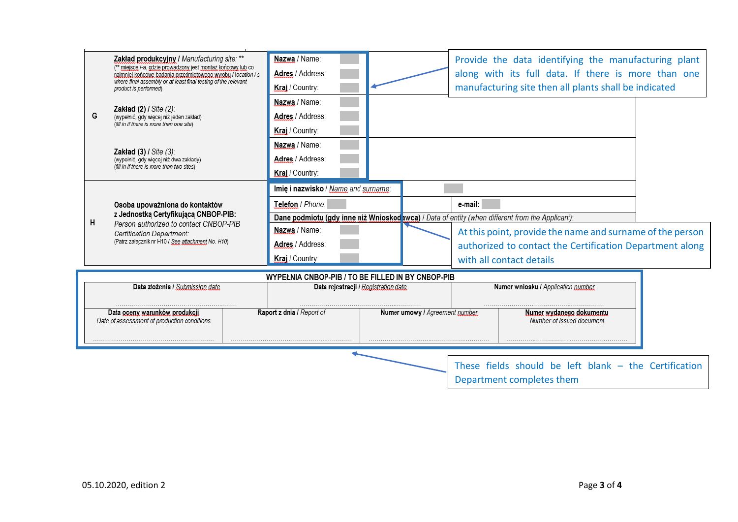|                                                                                                                               | Zakład produkcyjny / Manufacturing site: **<br>(** miejsce /-a, gdzie prowadzony jest montaż końcowy lub co<br>najmniej końcowe badania przedmiotowego wyrobu / location /-s<br>where final assembly or at least final testing of the relevant<br>product is performed) | Nazwa / Name:<br>Adres / Address:<br>Kraj / Country:    |                                                                                                 |         | Provide the data identifying the manufacturing plant<br>along with its full data. If there is more than one<br>manufacturing site then all plants shall be indicated |  |  |
|-------------------------------------------------------------------------------------------------------------------------------|-------------------------------------------------------------------------------------------------------------------------------------------------------------------------------------------------------------------------------------------------------------------------|---------------------------------------------------------|-------------------------------------------------------------------------------------------------|---------|----------------------------------------------------------------------------------------------------------------------------------------------------------------------|--|--|
| G                                                                                                                             | <b>Zakład (2) / Site (2):</b><br>(wypełnić, gdy więcej niż jeden zakład)<br>(fill in if there is more than one site)                                                                                                                                                    | Nazwa / Name:<br>Adres / Address:<br>Kraj / Country:    |                                                                                                 |         |                                                                                                                                                                      |  |  |
|                                                                                                                               | Zakład (3) / Site (3):<br>(wypełnić, gdy więcej niż dwa zakłady)<br>(fill in if there is more than two sites)                                                                                                                                                           | Nazwa / Name:<br>Adres / Address:<br>Kraj / Country:    |                                                                                                 |         |                                                                                                                                                                      |  |  |
| Osoba upoważniona do kontaktów<br>z Jednostką Certyfikującą CNBOP-PIB:                                                        |                                                                                                                                                                                                                                                                         | Imie i nazwisko / Name and surname:<br>Telefon / Phone: | Dane podmiotu (gdy inne niż Wnioskod wca) / Data of entity (when different from the Applicant): | e-mail: |                                                                                                                                                                      |  |  |
| н<br>Person authorized to contact CNBOP-PIB<br>Certification Department:<br>(Patrz załącznik nr H10 / See attachment No. H10) |                                                                                                                                                                                                                                                                         | Nazwa / Name:<br>Adres / Address:<br>Kraj / Country:    |                                                                                                 |         | At this point, provide the name and surname of the person<br>authorized to contact the Certification Department along<br>with all contact details                    |  |  |
| WYPEŁNIA CNBOP-PIB / TO BE FILLED IN BY CNBOP-PIB                                                                             |                                                                                                                                                                                                                                                                         |                                                         |                                                                                                 |         |                                                                                                                                                                      |  |  |
|                                                                                                                               | Data złożenia / Submission date                                                                                                                                                                                                                                         | Data rejestracji / Registration date                    |                                                                                                 |         | Numer wniosku / Application number                                                                                                                                   |  |  |
|                                                                                                                               | Data oceny warunków produkcji<br>Date of assessment of production conditions                                                                                                                                                                                            | Raport z dnia / Report of                               | Numer umowy / Agreement pumber                                                                  |         | Numer wydanego dokumentu<br>Number of issued document                                                                                                                |  |  |
|                                                                                                                               |                                                                                                                                                                                                                                                                         |                                                         |                                                                                                 |         | These fields should be left blank $-$ the Certification<br>Department completes them                                                                                 |  |  |